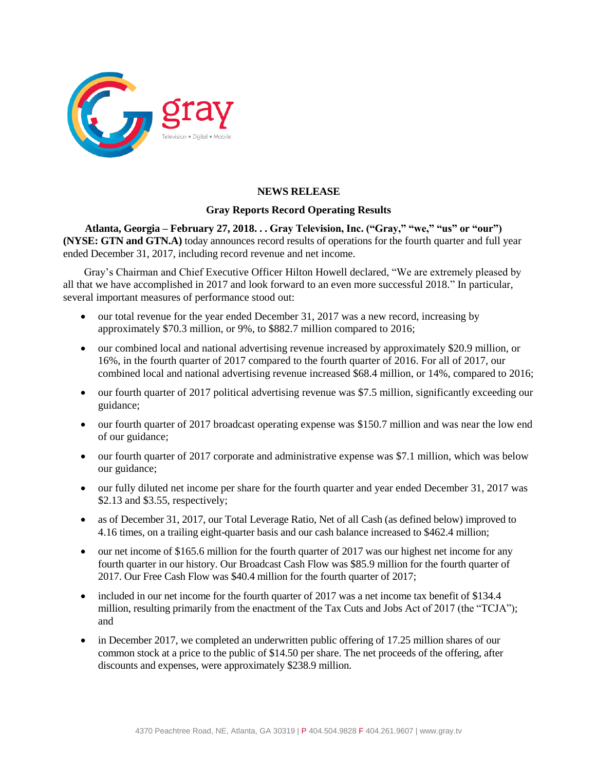

## **NEWS RELEASE**

### **Gray Reports Record Operating Results**

**Atlanta, Georgia – February 27, 2018. . . Gray Television, Inc. ("Gray," "we," "us" or "our") (NYSE: GTN and GTN.A)** today announces record results of operations for the fourth quarter and full year ended December 31, 2017, including record revenue and net income.

Gray's Chairman and Chief Executive Officer Hilton Howell declared, "We are extremely pleased by all that we have accomplished in 2017 and look forward to an even more successful 2018." In particular, several important measures of performance stood out:

- our total revenue for the year ended December 31, 2017 was a new record, increasing by approximately \$70.3 million, or 9%, to \$882.7 million compared to 2016;
- our combined local and national advertising revenue increased by approximately \$20.9 million, or 16%, in the fourth quarter of 2017 compared to the fourth quarter of 2016. For all of 2017, our combined local and national advertising revenue increased \$68.4 million, or 14%, compared to 2016;
- our fourth quarter of 2017 political advertising revenue was \$7.5 million, significantly exceeding our guidance;
- our fourth quarter of 2017 broadcast operating expense was \$150.7 million and was near the low end of our guidance;
- our fourth quarter of 2017 corporate and administrative expense was \$7.1 million, which was below our guidance;
- our fully diluted net income per share for the fourth quarter and year ended December 31, 2017 was \$2.13 and \$3.55, respectively;
- as of December 31, 2017, our Total Leverage Ratio, Net of all Cash (as defined below) improved to 4.16 times, on a trailing eight-quarter basis and our cash balance increased to \$462.4 million;
- our net income of \$165.6 million for the fourth quarter of 2017 was our highest net income for any fourth quarter in our history. Our Broadcast Cash Flow was \$85.9 million for the fourth quarter of 2017. Our Free Cash Flow was \$40.4 million for the fourth quarter of 2017;
- included in our net income for the fourth quarter of 2017 was a net income tax benefit of \$134.4 million, resulting primarily from the enactment of the Tax Cuts and Jobs Act of 2017 (the "TCJA"); and
- in December 2017, we completed an underwritten public offering of 17.25 million shares of our common stock at a price to the public of \$14.50 per share. The net proceeds of the offering, after discounts and expenses, were approximately \$238.9 million.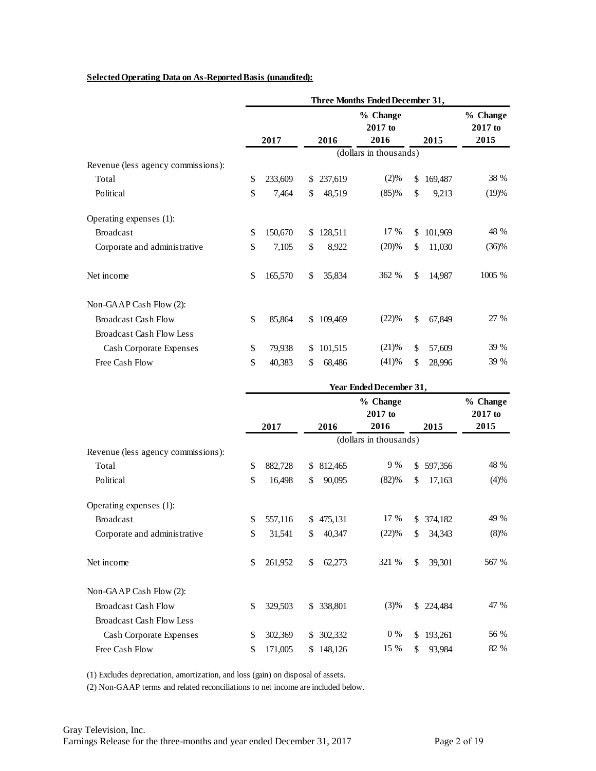#### **Selected Operating Data on As-Reported Basis (unaudited):**

|                                    |    |         |               |                        | % Change<br>2017 to |         |          |
|------------------------------------|----|---------|---------------|------------------------|---------------------|---------|----------|
|                                    |    | 2017    | 2016          | 2016                   |                     | 2015    | 2015     |
| Revenue (less agency commissions): |    |         |               | (dollars in thousands) |                     |         |          |
| Total                              | \$ | 233,609 | \$<br>237,619 | (2)%                   | \$                  | 169,487 | 38 %     |
| Political                          | \$ | 7,464   | \$<br>48,519  | (85)%                  | \$                  | 9,213   | (19)%    |
| Operating expenses (1):            |    |         |               |                        |                     |         |          |
| <b>Broadcast</b>                   | \$ | 150,670 | \$<br>128,511 | 17 %                   | \$                  | 101,969 | 48 %     |
| Corporate and administrative       | \$ | 7,105   | \$<br>8,922   | (20)%                  | \$                  | 11,030  | $(36)\%$ |
| Net income                         | \$ | 165,570 | \$<br>35,834  | 362 %                  | \$                  | 14,987  | 1005 %   |
| Non-GAAP Cash Flow (2):            |    |         |               |                        |                     |         |          |
| <b>Broadcast Cash Flow</b>         | \$ | 85,864  | \$<br>109,469 | (22)%                  | \$                  | 67,849  | 27 %     |
| <b>Broadcast Cash Flow Less</b>    |    |         |               |                        |                     |         |          |
| Cash Corporate Expenses            | \$ | 79,938  | \$<br>101,515 | (21)%                  | \$                  | 57,609  | 39 %     |
| Free Cash Flow                     | \$ | 40,383  | \$<br>68,486  | (41)%                  | \$                  | 28,996  | 39 %     |

|                                    |    | 2017    |     | 2016    | % Change<br>2017 to<br>2016 | 2015          | % Change<br>2017 to<br>2015 |
|------------------------------------|----|---------|-----|---------|-----------------------------|---------------|-----------------------------|
|                                    |    |         |     |         | (dollars in thousands)      |               |                             |
| Revenue (less agency commissions): |    |         |     |         |                             |               |                             |
| Total                              | \$ | 882,728 | \$  | 812,465 | 9 %                         | \$<br>597,356 | 48 %                        |
| Political                          | \$ | 16,498  | \$  | 90,095  | (82)%                       | \$<br>17,163  | (4)%                        |
| Operating expenses (1):            |    |         |     |         |                             |               |                             |
| <b>Broadcast</b>                   | \$ | 557,116 | \$  | 475,131 | 17 %                        | \$<br>374,182 | 49 %                        |
| Corporate and administrative       | \$ | 31,541  | \$  | 40,347  | (22)%                       | \$<br>34,343  | (8)%                        |
| Net income                         | \$ | 261,952 | \$  | 62,273  | 321 %                       | \$<br>39,301  | 567 %                       |
| Non-GAAP Cash Flow (2):            |    |         |     |         |                             |               |                             |
| <b>Broadcast Cash Flow</b>         | \$ | 329,503 | \$  | 338,801 | (3)%                        | \$<br>224,484 | 47 %                        |
| <b>Broadcast Cash Flow Less</b>    |    |         |     |         |                             |               |                             |
| Cash Corporate Expenses            | \$ | 302,369 | \$  | 302,332 | $0\%$                       | \$<br>193,261 | 56 %                        |
| Free Cash Flow                     | \$ | 171,005 | \$. | 148,126 | 15 %                        | \$<br>93,984  | 82 %                        |
|                                    |    |         |     |         |                             |               |                             |

(1) Excludes depreciation, amortization, and loss (gain) on disposal of assets.

(2) Non-GAAP terms and related reconciliations to net income are included below.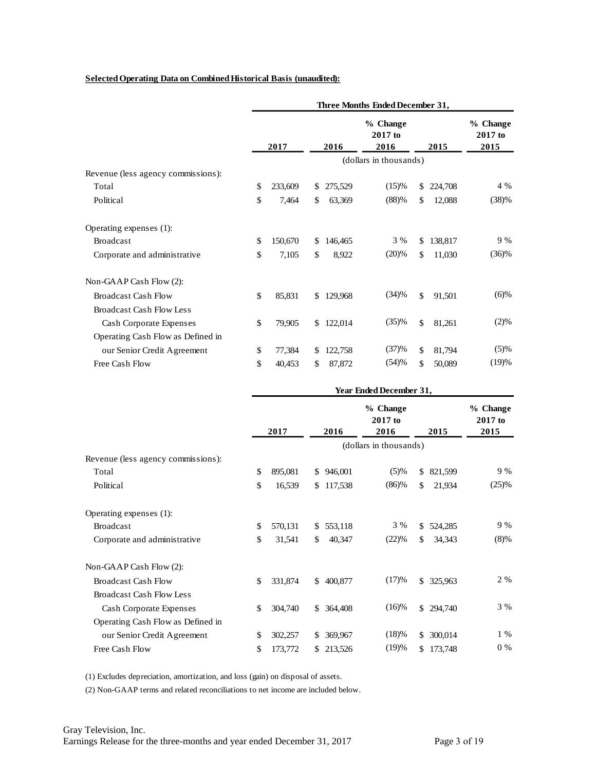#### **Selected Operating Data on Combined Historical Basis (unaudited):**

|                                    |               | Three Months Ended December 31, |    |           |                        |                             |         |          |  |  |  |
|------------------------------------|---------------|---------------------------------|----|-----------|------------------------|-----------------------------|---------|----------|--|--|--|
|                                    | 2017          |                                 |    | 2016      | 2015                   | % Change<br>2017 to<br>2015 |         |          |  |  |  |
|                                    |               |                                 |    |           | (dollars in thousands) |                             |         |          |  |  |  |
| Revenue (less agency commissions): |               |                                 |    |           |                        |                             |         |          |  |  |  |
| Total                              | $\mathcal{S}$ | 233,609                         | S  | 275,529   | (15)%                  | \$                          | 224,708 | 4 %      |  |  |  |
| Political                          | \$            | 7,464                           | \$ | 63,369    | (88)%                  | \$                          | 12,088  | (38)%    |  |  |  |
| Operating expenses (1):            |               |                                 |    |           |                        |                             |         |          |  |  |  |
| <b>Broadcast</b>                   | $\mathcal{S}$ | 150,670                         | \$ | 146,465   | 3 %                    | \$                          | 138,817 | 9%       |  |  |  |
| Corporate and administrative       | \$            | 7,105                           | \$ | 8,922     | (20)%                  | \$                          | 11,030  | $(36)\%$ |  |  |  |
| Non-GAAP Cash Flow (2):            |               |                                 |    |           |                        |                             |         |          |  |  |  |
| <b>Broadcast Cash Flow</b>         | \$            | 85,831                          |    | \$129,968 | (34)%                  | \$                          | 91,501  | $(6)\%$  |  |  |  |
| Broadcast Cash Flow Less           |               |                                 |    |           |                        |                             |         |          |  |  |  |
| Cash Corporate Expenses            | $\mathcal{S}$ | 79,905                          | \$ | 122,014   | (35)%                  | \$                          | 81,261  | (2)%     |  |  |  |
| Operating Cash Flow as Defined in  |               |                                 |    |           |                        |                             |         |          |  |  |  |
| our Senior Credit Agreement        | \$            | 77,384                          | \$ | 122,758   | (37)%                  | \$                          | 81,794  | (5)%     |  |  |  |
| Free Cash Flow                     | \$            | 40,453                          | \$ | 87,872    | (54)%                  | \$                          | 50,089  | (19)%    |  |  |  |

|                                    | <b>Year Ended December 31,</b> |         |     |            |                               |              |           |                             |  |
|------------------------------------|--------------------------------|---------|-----|------------|-------------------------------|--------------|-----------|-----------------------------|--|
|                                    |                                | 2017    |     | 2016       | % Change<br>$2017$ to<br>2016 |              | 2015      | % Change<br>2017 to<br>2015 |  |
|                                    |                                |         |     |            | (dollars in thousands)        |              |           |                             |  |
| Revenue (less agency commissions): |                                |         |     |            |                               |              |           |                             |  |
| Total                              | <sup>\$</sup>                  | 895,081 |     | \$946,001  | (5)%                          | \$           | 821,599   | 9 %                         |  |
| Political                          | \$                             | 16,539  | \$  | 117,538    | (86)%                         | \$           | 21,934    | (25)%                       |  |
| Operating expenses (1):            |                                |         |     |            |                               |              |           |                             |  |
| <b>Broadcast</b>                   | $\mathcal{S}$                  | 570,131 | \$  | 553,118    | 3 %                           | \$           | 524,285   | 9 %                         |  |
| Corporate and administrative       | \$                             | 31,541  | \$  | 40,347     | (22)%                         | \$           | 34,343    | $(8)\%$                     |  |
| Non-GAAP Cash Flow (2):            |                                |         |     |            |                               |              |           |                             |  |
| <b>Broadcast Cash Flow</b>         | $\mathcal{S}$                  | 331,874 |     | \$400,877  | (17)%                         | $\mathbf{S}$ | 325,963   | 2 %                         |  |
| <b>Broadcast Cash Flow Less</b>    |                                |         |     |            |                               |              |           |                             |  |
| Cash Corporate Expenses            | $\mathcal{S}$                  | 304,740 |     | \$ 364,408 | $(16)\%$                      |              | \$294,740 | 3 %                         |  |
| Operating Cash Flow as Defined in  |                                |         |     |            |                               |              |           |                             |  |
| our Senior Credit Agreement        | <sup>\$</sup>                  | 302,257 | S.  | 369,967    | (18)%                         | \$           | 300,014   | $1\%$                       |  |
| Free Cash Flow                     | \$                             | 173,772 | \$. | 213,526    | (19)%                         | \$           | 173,748   | $0\%$                       |  |

(1) Excludes depreciation, amortization, and loss (gain) on disposal of assets.

(2) Non-GAAP terms and related reconciliations to net income are included below.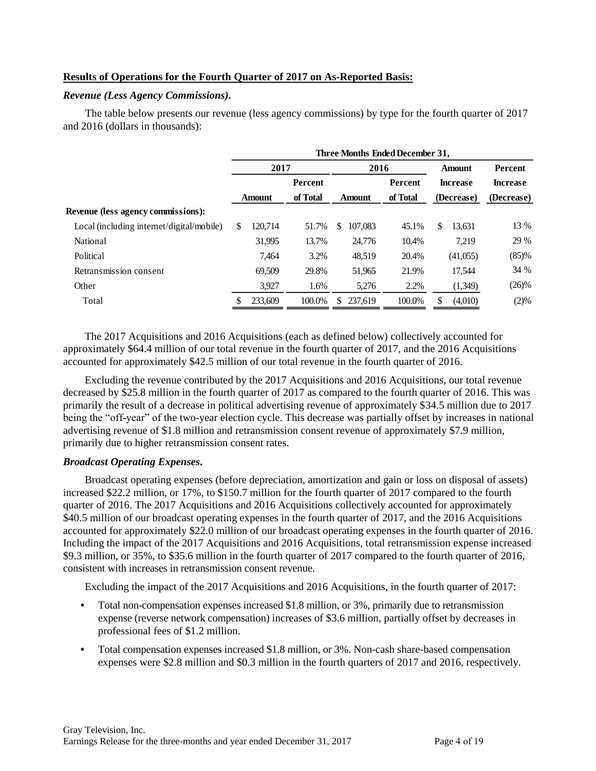### **Results of Operations for the Fourth Quarter of 2017 on As-Reported Basis:**

#### *Revenue (Less Agency Commissions).*

The table below presents our revenue (less agency commissions) by type for the fourth quarter of 2017 and 2016 (dollars in thousands):

|                                           | Three Months Ended December 31, |                |          |   |               |          |                 |               |                 |  |
|-------------------------------------------|---------------------------------|----------------|----------|---|---------------|----------|-----------------|---------------|-----------------|--|
|                                           | 2017                            |                |          |   | 2016          |          |                 | <b>Amount</b> | Percent         |  |
|                                           |                                 | <b>Percent</b> |          |   |               | Percent  | <b>Increase</b> |               | <b>Increase</b> |  |
|                                           |                                 | Amount         | of Total |   | <b>Amount</b> | of Total |                 | (Decrease)    | (Decrease)      |  |
| <b>Revenue (less agency commissions):</b> |                                 |                |          |   |               |          |                 |               |                 |  |
| Local (including internet/digital/mobile) | \$                              | 120.714        | 51.7%    | S | 107.083       | 45.1%    | \$              | 13,631        | 13 %            |  |
| National                                  |                                 | 31,995         | 13.7%    |   | 24,776        | 10.4%    |                 | 7,219         | 29 %            |  |
| Political                                 |                                 | 7.464          | 3.2%     |   | 48,519        | 20.4%    |                 | (41,055)      | (85)%           |  |
| Retransmission consent                    |                                 | 69,509         | 29.8%    |   | 51,965        | 21.9%    |                 | 17.544        | 34 %            |  |
| Other                                     |                                 | 3,927          | 1.6%     |   | 5,276         | 2.2%     |                 | (1,349)       | $(26)\%$        |  |
| Total                                     |                                 | 233,609        | 100.0%   | S | 237.619       | 100.0%   |                 | (4,010)       | (2)%            |  |

The 2017 Acquisitions and 2016 Acquisitions (each as defined below) collectively accounted for approximately \$64.4 million of our total revenue in the fourth quarter of 2017, and the 2016 Acquisitions accounted for approximately \$42.5 million of our total revenue in the fourth quarter of 2016.

Excluding the revenue contributed by the 2017 Acquisitions and 2016 Acquisitions, our total revenue decreased by \$25.8 million in the fourth quarter of 2017 as compared to the fourth quarter of 2016. This was primarily the result of a decrease in political advertising revenue of approximately \$34.5 million due to 2017 being the "off-year" of the two-year election cycle. This decrease was partially offset by increases in national advertising revenue of \$1.8 million and retransmission consent revenue of approximately \$7.9 million, primarily due to higher retransmission consent rates.

#### *Broadcast Operating Expenses***.**

Broadcast operating expenses (before depreciation, amortization and gain or loss on disposal of assets) increased \$22.2 million, or 17%, to \$150.7 million for the fourth quarter of 2017 compared to the fourth quarter of 2016. The 2017 Acquisitions and 2016 Acquisitions collectively accounted for approximately \$40.5 million of our broadcast operating expenses in the fourth quarter of 2017, and the 2016 Acquisitions accounted for approximately \$22.0 million of our broadcast operating expenses in the fourth quarter of 2016. Including the impact of the 2017 Acquisitions and 2016 Acquisitions, total retransmission expense increased \$9.3 million, or 35%, to \$35.6 million in the fourth quarter of 2017 compared to the fourth quarter of 2016, consistent with increases in retransmission consent revenue.

Excluding the impact of the 2017 Acquisitions and 2016 Acquisitions, in the fourth quarter of 2017:

- **•** Total non-compensation expenses increased \$1.8 million, or 3%, primarily due to retransmission expense (reverse network compensation) increases of \$3.6 million, partially offset by decreases in professional fees of \$1.2 million.
- **•** Total compensation expenses increased \$1.8 million, or 3%. Non-cash share-based compensation expenses were \$2.8 million and \$0.3 million in the fourth quarters of 2017 and 2016, respectively.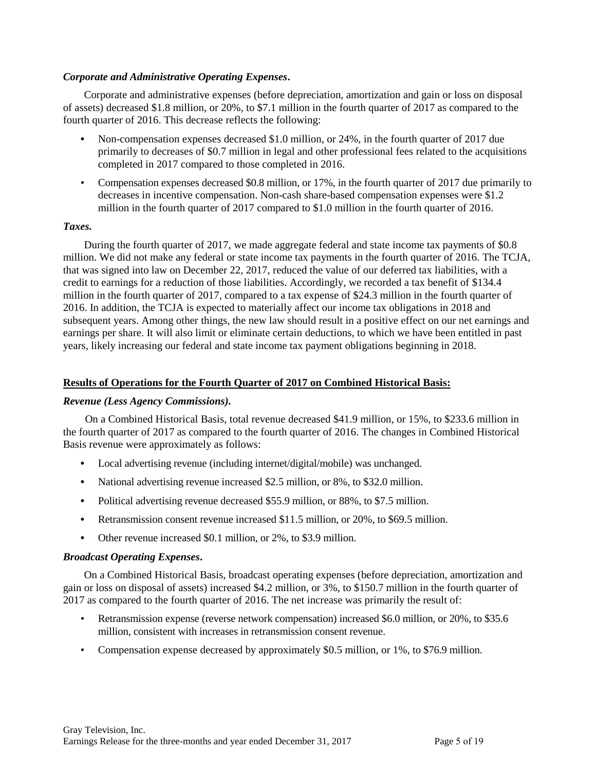### *Corporate and Administrative Operating Expenses***.**

Corporate and administrative expenses (before depreciation, amortization and gain or loss on disposal of assets) decreased \$1.8 million, or 20%, to \$7.1 million in the fourth quarter of 2017 as compared to the fourth quarter of 2016. This decrease reflects the following:

- **•** Non-compensation expenses decreased \$1.0 million, or 24%, in the fourth quarter of 2017 due primarily to decreases of \$0.7 million in legal and other professional fees related to the acquisitions completed in 2017 compared to those completed in 2016.
- Compensation expenses decreased \$0.8 million, or 17%, in the fourth quarter of 2017 due primarily to decreases in incentive compensation. Non-cash share-based compensation expenses were \$1.2 million in the fourth quarter of 2017 compared to \$1.0 million in the fourth quarter of 2016.

### *Taxes.*

During the fourth quarter of 2017, we made aggregate federal and state income tax payments of \$0.8 million. We did not make any federal or state income tax payments in the fourth quarter of 2016. The TCJA, that was signed into law on December 22, 2017, reduced the value of our deferred tax liabilities, with a credit to earnings for a reduction of those liabilities. Accordingly, we recorded a tax benefit of \$134.4 million in the fourth quarter of 2017, compared to a tax expense of \$24.3 million in the fourth quarter of 2016. In addition, the TCJA is expected to materially affect our income tax obligations in 2018 and subsequent years. Among other things, the new law should result in a positive effect on our net earnings and earnings per share. It will also limit or eliminate certain deductions, to which we have been entitled in past years, likely increasing our federal and state income tax payment obligations beginning in 2018.

## **Results of Operations for the Fourth Quarter of 2017 on Combined Historical Basis:**

### *Revenue (Less Agency Commissions).*

On a Combined Historical Basis, total revenue decreased \$41.9 million, or 15%, to \$233.6 million in the fourth quarter of 2017 as compared to the fourth quarter of 2016. The changes in Combined Historical Basis revenue were approximately as follows:

- **•** Local advertising revenue (including internet/digital/mobile) was unchanged.
- **•** National advertising revenue increased \$2.5 million, or 8%, to \$32.0 million.
- Political advertising revenue decreased \$55.9 million, or 88%, to \$7.5 million.
- **•** Retransmission consent revenue increased \$11.5 million, or 20%, to \$69.5 million.
- **•** Other revenue increased \$0.1 million, or 2%, to \$3.9 million.

### *Broadcast Operating Expenses***.**

On a Combined Historical Basis, broadcast operating expenses (before depreciation, amortization and gain or loss on disposal of assets) increased \$4.2 million, or 3%, to \$150.7 million in the fourth quarter of 2017 as compared to the fourth quarter of 2016. The net increase was primarily the result of:

- Retransmission expense (reverse network compensation) increased \$6.0 million, or 20%, to \$35.6 million, consistent with increases in retransmission consent revenue.
- Compensation expense decreased by approximately \$0.5 million, or 1%, to \$76.9 million.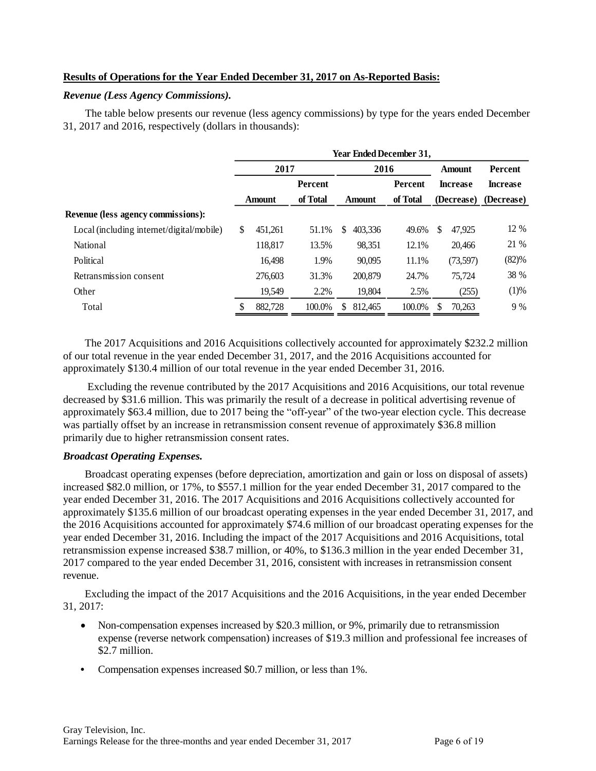### **Results of Operations for the Year Ended December 31, 2017 on As-Reported Basis:**

#### *Revenue (Less Agency Commissions).*

The table below presents our revenue (less agency commissions) by type for the years ended December 31, 2017 and 2016, respectively (dollars in thousands):

|                                           | Year Ended December 31, |               |          |   |               |                |               |                 |                 |  |
|-------------------------------------------|-------------------------|---------------|----------|---|---------------|----------------|---------------|-----------------|-----------------|--|
|                                           | 2017                    |               |          |   | 2016          |                | <b>Amount</b> |                 | <b>Percent</b>  |  |
|                                           |                         |               | Percent  |   |               | <b>Percent</b> |               | <b>Increase</b> | <b>Increase</b> |  |
|                                           |                         | <b>Amount</b> | of Total |   | <b>Amount</b> | of Total       |               | (Decrease)      | (Decrease)      |  |
| Revenue (less agency commissions):        |                         |               |          |   |               |                |               |                 |                 |  |
| Local (including internet/digital/mobile) | \$                      | 451,261       | 51.1%    | S | 403.336       | 49.6%          | S             | 47.925          | 12 %            |  |
| <b>National</b>                           |                         | 118,817       | 13.5%    |   | 98,351        | 12.1%          |               | 20,466          | 21 %            |  |
| Political                                 |                         | 16.498        | 1.9%     |   | 90.095        | 11.1%          |               | (73,597)        | (82)%           |  |
| Retransmission consent                    |                         | 276,603       | 31.3%    |   | 200,879       | 24.7%          |               | 75,724          | 38 %            |  |
| Other                                     |                         | 19.549        | 2.2%     |   | 19.804        | 2.5%           |               | (255)           | (1)%            |  |
| Total                                     |                         | 882,728       | 100.0%   |   | 812,465       | 100.0%         | S             | 70,263          | 9%              |  |
|                                           |                         |               |          |   |               |                |               |                 |                 |  |

The 2017 Acquisitions and 2016 Acquisitions collectively accounted for approximately \$232.2 million of our total revenue in the year ended December 31, 2017, and the 2016 Acquisitions accounted for approximately \$130.4 million of our total revenue in the year ended December 31, 2016.

Excluding the revenue contributed by the 2017 Acquisitions and 2016 Acquisitions, our total revenue decreased by \$31.6 million. This was primarily the result of a decrease in political advertising revenue of approximately \$63.4 million, due to 2017 being the "off-year" of the two-year election cycle. This decrease was partially offset by an increase in retransmission consent revenue of approximately \$36.8 million primarily due to higher retransmission consent rates.

### *Broadcast Operating Expenses.*

Broadcast operating expenses (before depreciation, amortization and gain or loss on disposal of assets) increased \$82.0 million, or 17%, to \$557.1 million for the year ended December 31, 2017 compared to the year ended December 31, 2016. The 2017 Acquisitions and 2016 Acquisitions collectively accounted for approximately \$135.6 million of our broadcast operating expenses in the year ended December 31, 2017, and the 2016 Acquisitions accounted for approximately \$74.6 million of our broadcast operating expenses for the year ended December 31, 2016. Including the impact of the 2017 Acquisitions and 2016 Acquisitions, total retransmission expense increased \$38.7 million, or 40%, to \$136.3 million in the year ended December 31, 2017 compared to the year ended December 31, 2016, consistent with increases in retransmission consent revenue.

Excluding the impact of the 2017 Acquisitions and the 2016 Acquisitions, in the year ended December 31, 2017:

- Non-compensation expenses increased by \$20.3 million, or 9%, primarily due to retransmission expense (reverse network compensation) increases of \$19.3 million and professional fee increases of \$2.7 million.
- **•** Compensation expenses increased \$0.7 million, or less than 1%.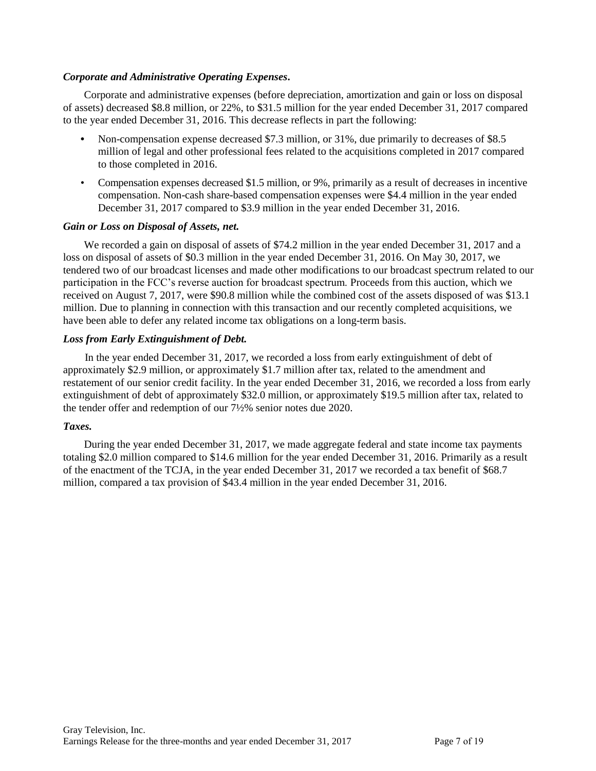### *Corporate and Administrative Operating Expenses***.**

Corporate and administrative expenses (before depreciation, amortization and gain or loss on disposal of assets) decreased \$8.8 million, or 22%, to \$31.5 million for the year ended December 31, 2017 compared to the year ended December 31, 2016. This decrease reflects in part the following:

- **•** Non-compensation expense decreased \$7.3 million, or 31%, due primarily to decreases of \$8.5 million of legal and other professional fees related to the acquisitions completed in 2017 compared to those completed in 2016.
- Compensation expenses decreased \$1.5 million, or 9%, primarily as a result of decreases in incentive compensation. Non-cash share-based compensation expenses were \$4.4 million in the year ended December 31, 2017 compared to \$3.9 million in the year ended December 31, 2016.

### *Gain or Loss on Disposal of Assets, net.*

We recorded a gain on disposal of assets of \$74.2 million in the year ended December 31, 2017 and a loss on disposal of assets of \$0.3 million in the year ended December 31, 2016. On May 30, 2017, we tendered two of our broadcast licenses and made other modifications to our broadcast spectrum related to our participation in the FCC's reverse auction for broadcast spectrum. Proceeds from this auction, which we received on August 7, 2017, were \$90.8 million while the combined cost of the assets disposed of was \$13.1 million. Due to planning in connection with this transaction and our recently completed acquisitions, we have been able to defer any related income tax obligations on a long-term basis.

### *Loss from Early Extinguishment of Debt.*

In the year ended December 31, 2017, we recorded a loss from early extinguishment of debt of approximately \$2.9 million, or approximately \$1.7 million after tax, related to the amendment and restatement of our senior credit facility. In the year ended December 31, 2016, we recorded a loss from early extinguishment of debt of approximately \$32.0 million, or approximately \$19.5 million after tax, related to the tender offer and redemption of our 7½% senior notes due 2020.

### *Taxes.*

During the year ended December 31, 2017, we made aggregate federal and state income tax payments totaling \$2.0 million compared to \$14.6 million for the year ended December 31, 2016. Primarily as a result of the enactment of the TCJA, in the year ended December 31, 2017 we recorded a tax benefit of \$68.7 million, compared a tax provision of \$43.4 million in the year ended December 31, 2016.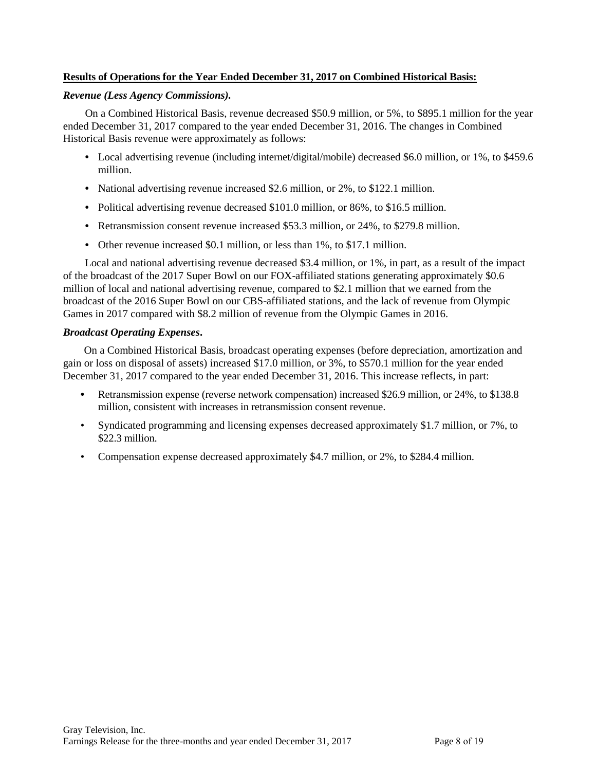## **Results of Operations for the Year Ended December 31, 2017 on Combined Historical Basis:**

#### *Revenue (Less Agency Commissions).*

On a Combined Historical Basis, revenue decreased \$50.9 million, or 5%, to \$895.1 million for the year ended December 31, 2017 compared to the year ended December 31, 2016. The changes in Combined Historical Basis revenue were approximately as follows:

- Local advertising revenue (including internet/digital/mobile) decreased \$6.0 million, or 1%, to \$459.6 million.
- **•** National advertising revenue increased \$2.6 million, or 2%, to \$122.1 million.
- Political advertising revenue decreased \$101.0 million, or 86%, to \$16.5 million.
- **•** Retransmission consent revenue increased \$53.3 million, or 24%, to \$279.8 million.
- **•** Other revenue increased \$0.1 million, or less than 1%, to \$17.1 million.

Local and national advertising revenue decreased \$3.4 million, or 1%, in part, as a result of the impact of the broadcast of the 2017 Super Bowl on our FOX-affiliated stations generating approximately \$0.6 million of local and national advertising revenue, compared to \$2.1 million that we earned from the broadcast of the 2016 Super Bowl on our CBS-affiliated stations, and the lack of revenue from Olympic Games in 2017 compared with \$8.2 million of revenue from the Olympic Games in 2016.

### *Broadcast Operating Expenses***.**

On a Combined Historical Basis, broadcast operating expenses (before depreciation, amortization and gain or loss on disposal of assets) increased \$17.0 million, or 3%, to \$570.1 million for the year ended December 31, 2017 compared to the year ended December 31, 2016. This increase reflects, in part:

- **•** Retransmission expense (reverse network compensation) increased \$26.9 million, or 24%, to \$138.8 million, consistent with increases in retransmission consent revenue.
- Syndicated programming and licensing expenses decreased approximately \$1.7 million, or 7%, to \$22.3 million.
- Compensation expense decreased approximately \$4.7 million, or 2%, to \$284.4 million.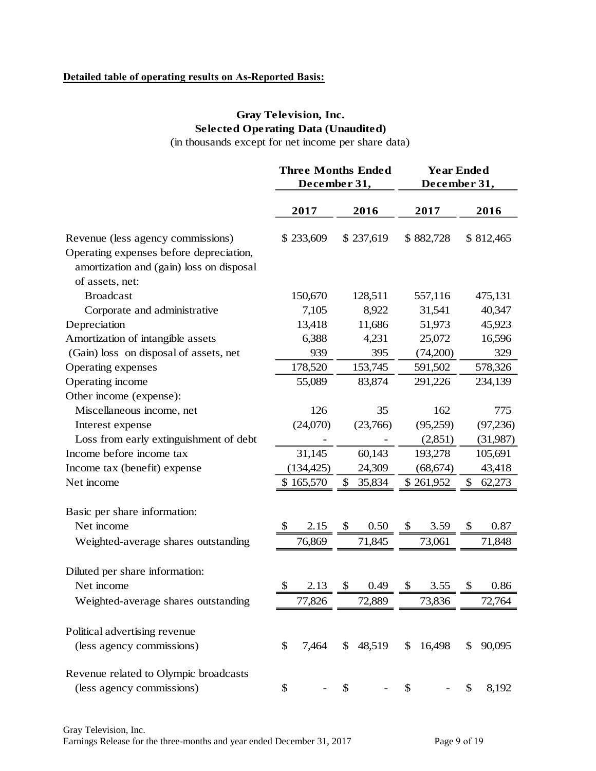## **Detailed table of operating results on As-Reported Basis:**

## **Gray Television, Inc. Selected Operating Data (Unaudited)**

(in thousands except for net income per share data)

|                                                                                                        | <b>Three Months Ended</b><br>December 31, |                           |           |               |           | <b>Year Ended</b><br>December 31, |           |  |  |
|--------------------------------------------------------------------------------------------------------|-------------------------------------------|---------------------------|-----------|---------------|-----------|-----------------------------------|-----------|--|--|
|                                                                                                        | 2017                                      |                           | 2016      |               | 2017      |                                   | 2016      |  |  |
| Revenue (less agency commissions)                                                                      | \$233,609                                 |                           | \$237,619 |               | \$882,728 |                                   | \$812,465 |  |  |
| Operating expenses before depreciation,<br>amortization and (gain) loss on disposal<br>of assets, net: |                                           |                           |           |               |           |                                   |           |  |  |
| <b>Broadcast</b>                                                                                       | 150,670                                   |                           | 128,511   |               | 557,116   |                                   | 475,131   |  |  |
| Corporate and administrative                                                                           | 7,105                                     |                           | 8,922     |               | 31,541    |                                   | 40,347    |  |  |
| Depreciation                                                                                           | 13,418                                    |                           | 11,686    |               | 51,973    |                                   | 45,923    |  |  |
| Amortization of intangible assets                                                                      | 6,388                                     |                           | 4,231     |               | 25,072    |                                   | 16,596    |  |  |
| (Gain) loss on disposal of assets, net                                                                 | 939                                       |                           | 395       |               | (74,200)  |                                   | 329       |  |  |
| Operating expenses                                                                                     | 178,520                                   |                           | 153,745   |               | 591,502   |                                   | 578,326   |  |  |
| Operating income                                                                                       | 55,089                                    |                           | 83,874    |               | 291,226   |                                   | 234,139   |  |  |
| Other income (expense):                                                                                |                                           |                           |           |               |           |                                   |           |  |  |
| Miscellaneous income, net                                                                              | 126                                       |                           | 35        |               | 162       |                                   | 775       |  |  |
| Interest expense                                                                                       | (24,070)                                  |                           | (23,766)  |               | (95,259)  |                                   | (97,236)  |  |  |
| Loss from early extinguishment of debt                                                                 |                                           |                           |           |               | (2,851)   |                                   | (31,987)  |  |  |
| Income before income tax                                                                               | 31,145                                    |                           | 60,143    |               | 193,278   |                                   | 105,691   |  |  |
| Income tax (benefit) expense                                                                           | (134, 425)                                |                           | 24,309    |               | (68, 674) |                                   | 43,418    |  |  |
| Net income                                                                                             | \$165,570                                 | \$                        | 35,834    |               | \$261,952 | \$                                | 62,273    |  |  |
| Basic per share information:                                                                           |                                           |                           |           |               |           |                                   |           |  |  |
| Net income                                                                                             | \$<br>2.15                                | $\boldsymbol{\mathsf{S}}$ | 0.50      | \$            | 3.59      | \$                                | 0.87      |  |  |
| Weighted-average shares outstanding                                                                    | 76,869                                    |                           | 71,845    |               | 73,061    |                                   | 71,848    |  |  |
| Diluted per share information:                                                                         |                                           |                           |           |               |           |                                   |           |  |  |
| Net income                                                                                             | \$<br>2.13                                | \$                        | 0.49      | \$            | 3.55      | \$                                | 0.86      |  |  |
| Weighted-average shares outstanding                                                                    | 77,826                                    |                           | 72,889    |               | 73,836    |                                   | 72,764    |  |  |
| Political advertising revenue                                                                          |                                           |                           |           |               |           |                                   |           |  |  |
| (less agency commissions)                                                                              | \$<br>7,464                               | $\mathbb{S}$              | 48,519    | \$            | 16,498    | \$                                | 90,095    |  |  |
| Revenue related to Olympic broadcasts                                                                  |                                           |                           |           |               |           |                                   |           |  |  |
| (less agency commissions)                                                                              | \$                                        | \$                        |           | $\frac{1}{2}$ |           | \$                                | 8,192     |  |  |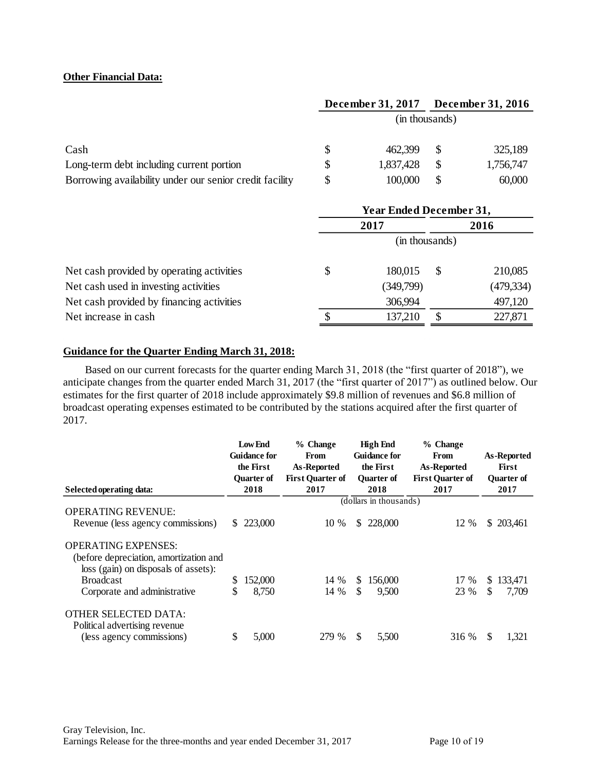#### **Other Financial Data:**

|                                                         | December 31, 2017 |               | <b>December 31, 2016</b> |
|---------------------------------------------------------|-------------------|---------------|--------------------------|
|                                                         | (in thousands)    |               |                          |
| Cash                                                    | \$<br>462,399     |               | 325,189                  |
| Long-term debt including current portion                | \$<br>1,837,428   | <sup>\$</sup> | 1,756,747                |
| Borrowing availability under our senior credit facility | \$<br>100,000     | \$            | 60,000                   |

| <b>Year Ended December 31,</b> |           |  |                |  |  |
|--------------------------------|-----------|--|----------------|--|--|
| 2017                           |           |  | 2016           |  |  |
|                                |           |  |                |  |  |
| \$                             | 180,015   |  | 210,085        |  |  |
|                                | (349,799) |  | (479, 334)     |  |  |
|                                | 306,994   |  | 497,120        |  |  |
|                                | 137,210   |  | 227,871        |  |  |
|                                |           |  | (in thousands) |  |  |

### **Guidance for the Quarter Ending March 31, 2018:**

Based on our current forecasts for the quarter ending March 31, 2018 (the "first quarter of 2018"), we anticipate changes from the quarter ended March 31, 2017 (the "first quarter of 2017") as outlined below. Our estimates for the first quarter of 2018 include approximately \$9.8 million of revenues and \$6.8 million of broadcast operating expenses estimated to be contributed by the stations acquired after the first quarter of 2017.

|                                                                                                              |    | <b>Low End</b><br><b>Guidance for</b><br>the First | % Change<br><b>From</b><br>As-Reported |     | High End<br><b>Guidance for</b><br>the First | % Change<br>From<br>As-Reported |     | As-Reported<br>First      |
|--------------------------------------------------------------------------------------------------------------|----|----------------------------------------------------|----------------------------------------|-----|----------------------------------------------|---------------------------------|-----|---------------------------|
| Selected operating data:                                                                                     |    | <b>Ouarter of</b><br>2018                          | <b>First Quarter of</b><br>2017        |     | <b>Ouarter of</b><br>2018                    | <b>First Quarter of</b><br>2017 |     | <b>Ouarter of</b><br>2017 |
|                                                                                                              |    |                                                    |                                        |     | $\overline{(\text{dollars in thousands})}$   |                                 |     |                           |
| <b>OPERATING REVENUE:</b><br>Revenue (less agency commissions)                                               | S. | 223,000                                            | 10 %                                   | \$. | 228,000                                      | 12 %                            |     | \$203,461                 |
| <b>OPERATING EXPENSES:</b><br>(before depreciation, amortization and<br>loss (gain) on disposals of assets): |    |                                                    |                                        |     |                                              |                                 |     |                           |
| <b>Broadcast</b>                                                                                             | \$ | 152,000                                            | 14 %                                   | S.  | 156,000                                      | 17 %                            |     | \$133,471                 |
| Corporate and administrative                                                                                 | \$ | 8,750                                              | 14 %                                   | S   | 9,500                                        | 23 %                            | \$. | 7,709                     |
| <b>OTHER SELECTED DATA:</b><br>Political advertising revenue<br>(less agency commissions)                    | \$ | 5,000                                              | 279 %                                  | S   | 5,500                                        | 316 %                           | S   | 1,321                     |

 $\sim$   $\sim$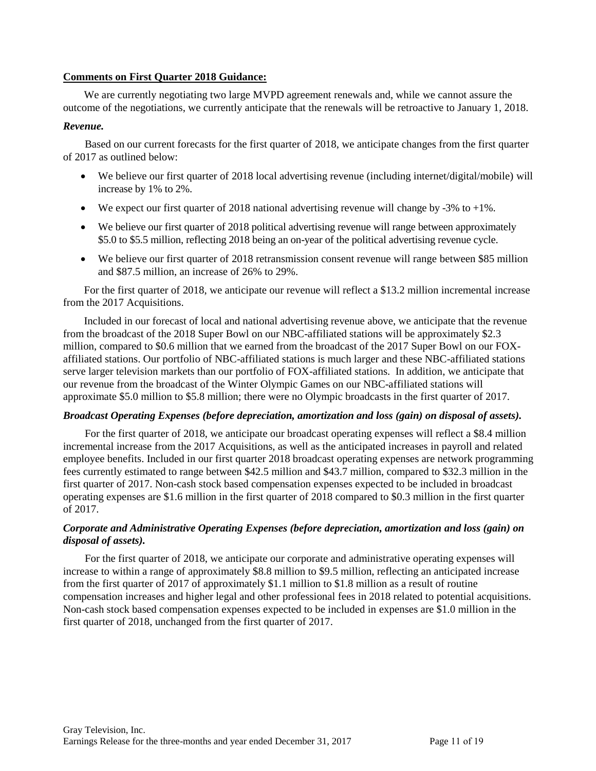#### **Comments on First Quarter 2018 Guidance:**

We are currently negotiating two large MVPD agreement renewals and, while we cannot assure the outcome of the negotiations, we currently anticipate that the renewals will be retroactive to January 1, 2018.

#### *Revenue.*

Based on our current forecasts for the first quarter of 2018, we anticipate changes from the first quarter of 2017 as outlined below:

- We believe our first quarter of 2018 local advertising revenue (including internet/digital/mobile) will increase by 1% to 2%.
- We expect our first quarter of 2018 national advertising revenue will change by -3% to  $+1\%$ .
- We believe our first quarter of 2018 political advertising revenue will range between approximately \$5.0 to \$5.5 million, reflecting 2018 being an on-year of the political advertising revenue cycle.
- We believe our first quarter of 2018 retransmission consent revenue will range between \$85 million and \$87.5 million, an increase of 26% to 29%.

For the first quarter of 2018, we anticipate our revenue will reflect a \$13.2 million incremental increase from the 2017 Acquisitions.

Included in our forecast of local and national advertising revenue above, we anticipate that the revenue from the broadcast of the 2018 Super Bowl on our NBC-affiliated stations will be approximately \$2.3 million, compared to \$0.6 million that we earned from the broadcast of the 2017 Super Bowl on our FOXaffiliated stations. Our portfolio of NBC-affiliated stations is much larger and these NBC-affiliated stations serve larger television markets than our portfolio of FOX-affiliated stations. In addition, we anticipate that our revenue from the broadcast of the Winter Olympic Games on our NBC-affiliated stations will approximate \$5.0 million to \$5.8 million; there were no Olympic broadcasts in the first quarter of 2017.

#### *Broadcast Operating Expenses (before depreciation, amortization and loss (gain) on disposal of assets).*

For the first quarter of 2018, we anticipate our broadcast operating expenses will reflect a \$8.4 million incremental increase from the 2017 Acquisitions, as well as the anticipated increases in payroll and related employee benefits. Included in our first quarter 2018 broadcast operating expenses are network programming fees currently estimated to range between \$42.5 million and \$43.7 million, compared to \$32.3 million in the first quarter of 2017. Non-cash stock based compensation expenses expected to be included in broadcast operating expenses are \$1.6 million in the first quarter of 2018 compared to \$0.3 million in the first quarter of 2017.

### *Corporate and Administrative Operating Expenses (before depreciation, amortization and loss (gain) on disposal of assets).*

For the first quarter of 2018, we anticipate our corporate and administrative operating expenses will increase to within a range of approximately \$8.8 million to \$9.5 million, reflecting an anticipated increase from the first quarter of 2017 of approximately \$1.1 million to \$1.8 million as a result of routine compensation increases and higher legal and other professional fees in 2018 related to potential acquisitions. Non-cash stock based compensation expenses expected to be included in expenses are \$1.0 million in the first quarter of 2018, unchanged from the first quarter of 2017.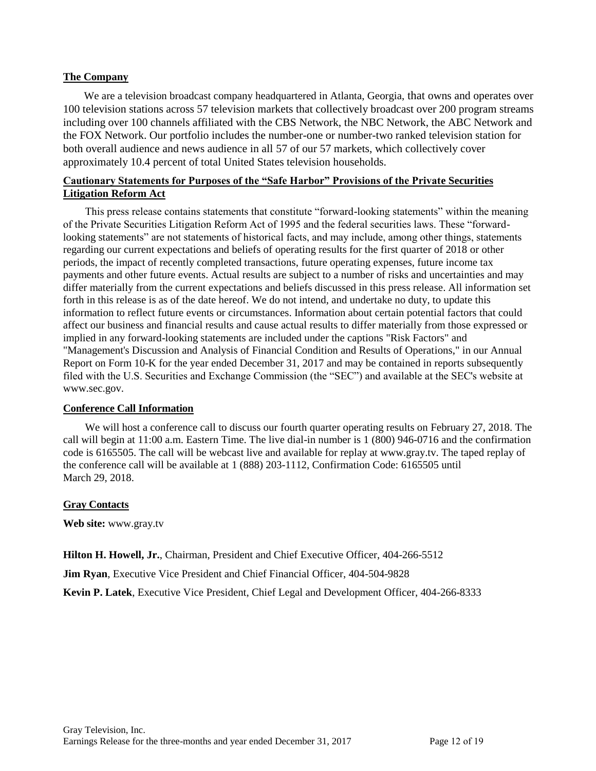#### **The Company**

We are a television broadcast company headquartered in Atlanta, Georgia, that owns and operates over 100 television stations across 57 television markets that collectively broadcast over 200 program streams including over 100 channels affiliated with the CBS Network, the NBC Network, the ABC Network and the FOX Network. Our portfolio includes the number-one or number-two ranked television station for both overall audience and news audience in all 57 of our 57 markets, which collectively cover approximately 10.4 percent of total United States television households.

## **Cautionary Statements for Purposes of the "Safe Harbor" Provisions of the Private Securities Litigation Reform Act**

This press release contains statements that constitute "forward-looking statements" within the meaning of the Private Securities Litigation Reform Act of 1995 and the federal securities laws. These "forwardlooking statements" are not statements of historical facts, and may include, among other things, statements regarding our current expectations and beliefs of operating results for the first quarter of 2018 or other periods, the impact of recently completed transactions, future operating expenses, future income tax payments and other future events. Actual results are subject to a number of risks and uncertainties and may differ materially from the current expectations and beliefs discussed in this press release. All information set forth in this release is as of the date hereof. We do not intend, and undertake no duty, to update this information to reflect future events or circumstances. Information about certain potential factors that could affect our business and financial results and cause actual results to differ materially from those expressed or implied in any forward-looking statements are included under the captions "Risk Factors" and "Management's Discussion and Analysis of Financial Condition and Results of Operations," in our Annual Report on Form 10-K for the year ended December 31, 2017 and may be contained in reports subsequently filed with the U.S. Securities and Exchange Commission (the "SEC") and available at the SEC's website at www.sec.gov.

### **Conference Call Information**

We will host a conference call to discuss our fourth quarter operating results on February 27, 2018. The call will begin at 11:00 a.m. Eastern Time. The live dial-in number is 1 (800) 946-0716 and the confirmation code is 6165505. The call will be webcast live and available for replay at www.gray.tv. The taped replay of the conference call will be available at 1 (888) 203-1112, Confirmation Code: 6165505 until March 29, 2018.

### **Gray Contacts**

**Web site:** www.gray.tv

**Hilton H. Howell, Jr.**, Chairman, President and Chief Executive Officer, 404-266-5512

**Jim Ryan**, Executive Vice President and Chief Financial Officer, 404-504-9828

**Kevin P. Latek**, Executive Vice President, Chief Legal and Development Officer, 404-266-8333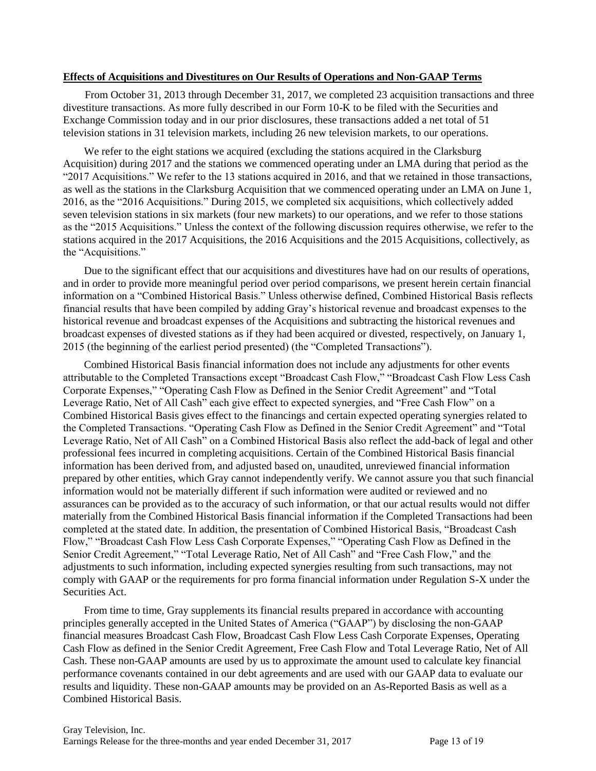#### **Effects of Acquisitions and Divestitures on Our Results of Operations and Non-GAAP Terms**

From October 31, 2013 through December 31, 2017, we completed 23 acquisition transactions and three divestiture transactions. As more fully described in our Form 10-K to be filed with the Securities and Exchange Commission today and in our prior disclosures, these transactions added a net total of 51 television stations in 31 television markets, including 26 new television markets, to our operations.

We refer to the eight stations we acquired (excluding the stations acquired in the Clarksburg Acquisition) during 2017 and the stations we commenced operating under an LMA during that period as the "2017 Acquisitions." We refer to the 13 stations acquired in 2016, and that we retained in those transactions, as well as the stations in the Clarksburg Acquisition that we commenced operating under an LMA on June 1, 2016, as the "2016 Acquisitions." During 2015, we completed six acquisitions, which collectively added seven television stations in six markets (four new markets) to our operations, and we refer to those stations as the "2015 Acquisitions." Unless the context of the following discussion requires otherwise, we refer to the stations acquired in the 2017 Acquisitions, the 2016 Acquisitions and the 2015 Acquisitions, collectively, as the "Acquisitions."

Due to the significant effect that our acquisitions and divestitures have had on our results of operations, and in order to provide more meaningful period over period comparisons, we present herein certain financial information on a "Combined Historical Basis." Unless otherwise defined, Combined Historical Basis reflects financial results that have been compiled by adding Gray's historical revenue and broadcast expenses to the historical revenue and broadcast expenses of the Acquisitions and subtracting the historical revenues and broadcast expenses of divested stations as if they had been acquired or divested, respectively, on January 1, 2015 (the beginning of the earliest period presented) (the "Completed Transactions").

Combined Historical Basis financial information does not include any adjustments for other events attributable to the Completed Transactions except "Broadcast Cash Flow," "Broadcast Cash Flow Less Cash Corporate Expenses," "Operating Cash Flow as Defined in the Senior Credit Agreement" and "Total Leverage Ratio, Net of All Cash" each give effect to expected synergies, and "Free Cash Flow" on a Combined Historical Basis gives effect to the financings and certain expected operating synergies related to the Completed Transactions. "Operating Cash Flow as Defined in the Senior Credit Agreement" and "Total Leverage Ratio, Net of All Cash" on a Combined Historical Basis also reflect the add-back of legal and other professional fees incurred in completing acquisitions. Certain of the Combined Historical Basis financial information has been derived from, and adjusted based on, unaudited, unreviewed financial information prepared by other entities, which Gray cannot independently verify. We cannot assure you that such financial information would not be materially different if such information were audited or reviewed and no assurances can be provided as to the accuracy of such information, or that our actual results would not differ materially from the Combined Historical Basis financial information if the Completed Transactions had been completed at the stated date. In addition, the presentation of Combined Historical Basis, "Broadcast Cash Flow," "Broadcast Cash Flow Less Cash Corporate Expenses," "Operating Cash Flow as Defined in the Senior Credit Agreement," "Total Leverage Ratio, Net of All Cash" and "Free Cash Flow," and the adjustments to such information, including expected synergies resulting from such transactions, may not comply with GAAP or the requirements for pro forma financial information under Regulation S-X under the Securities Act.

From time to time, Gray supplements its financial results prepared in accordance with accounting principles generally accepted in the United States of America ("GAAP") by disclosing the non-GAAP financial measures Broadcast Cash Flow, Broadcast Cash Flow Less Cash Corporate Expenses, Operating Cash Flow as defined in the Senior Credit Agreement, Free Cash Flow and Total Leverage Ratio, Net of All Cash. These non-GAAP amounts are used by us to approximate the amount used to calculate key financial performance covenants contained in our debt agreements and are used with our GAAP data to evaluate our results and liquidity. These non-GAAP amounts may be provided on an As-Reported Basis as well as a Combined Historical Basis.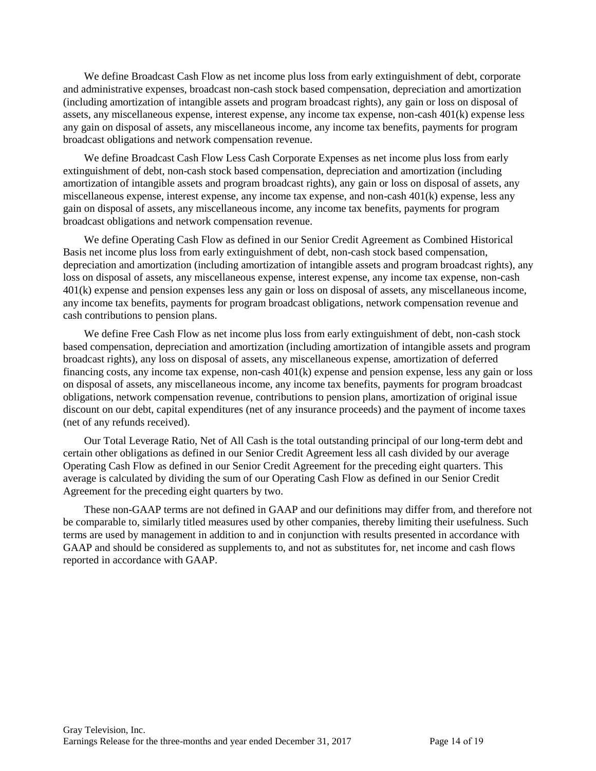We define Broadcast Cash Flow as net income plus loss from early extinguishment of debt, corporate and administrative expenses, broadcast non-cash stock based compensation, depreciation and amortization (including amortization of intangible assets and program broadcast rights), any gain or loss on disposal of assets, any miscellaneous expense, interest expense, any income tax expense, non-cash 401(k) expense less any gain on disposal of assets, any miscellaneous income, any income tax benefits, payments for program broadcast obligations and network compensation revenue.

We define Broadcast Cash Flow Less Cash Corporate Expenses as net income plus loss from early extinguishment of debt, non-cash stock based compensation, depreciation and amortization (including amortization of intangible assets and program broadcast rights), any gain or loss on disposal of assets, any miscellaneous expense, interest expense, any income tax expense, and non-cash 401(k) expense, less any gain on disposal of assets, any miscellaneous income, any income tax benefits, payments for program broadcast obligations and network compensation revenue.

We define Operating Cash Flow as defined in our Senior Credit Agreement as Combined Historical Basis net income plus loss from early extinguishment of debt, non-cash stock based compensation, depreciation and amortization (including amortization of intangible assets and program broadcast rights), any loss on disposal of assets, any miscellaneous expense, interest expense, any income tax expense, non-cash 401(k) expense and pension expenses less any gain or loss on disposal of assets, any miscellaneous income, any income tax benefits, payments for program broadcast obligations, network compensation revenue and cash contributions to pension plans.

We define Free Cash Flow as net income plus loss from early extinguishment of debt, non-cash stock based compensation, depreciation and amortization (including amortization of intangible assets and program broadcast rights), any loss on disposal of assets, any miscellaneous expense, amortization of deferred financing costs, any income tax expense, non-cash 401(k) expense and pension expense, less any gain or loss on disposal of assets, any miscellaneous income, any income tax benefits, payments for program broadcast obligations, network compensation revenue, contributions to pension plans, amortization of original issue discount on our debt, capital expenditures (net of any insurance proceeds) and the payment of income taxes (net of any refunds received).

Our Total Leverage Ratio, Net of All Cash is the total outstanding principal of our long-term debt and certain other obligations as defined in our Senior Credit Agreement less all cash divided by our average Operating Cash Flow as defined in our Senior Credit Agreement for the preceding eight quarters. This average is calculated by dividing the sum of our Operating Cash Flow as defined in our Senior Credit Agreement for the preceding eight quarters by two.

These non-GAAP terms are not defined in GAAP and our definitions may differ from, and therefore not be comparable to, similarly titled measures used by other companies, thereby limiting their usefulness. Such terms are used by management in addition to and in conjunction with results presented in accordance with GAAP and should be considered as supplements to, and not as substitutes for, net income and cash flows reported in accordance with GAAP.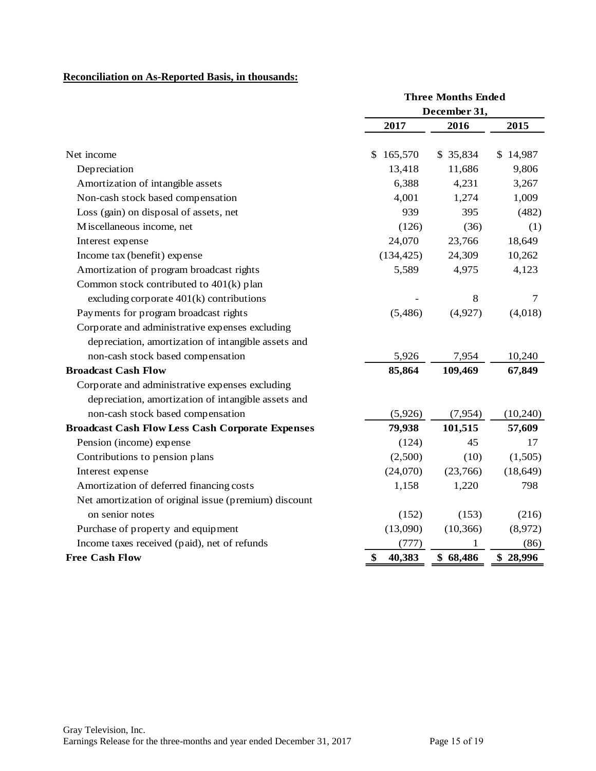# **Reconciliation on As-Reported Basis, in thousands:**

| Net income<br>\$<br>Depreciation<br>Amortization of intangible assets<br>Non-cash stock based compensation<br>Loss (gain) on disposal of assets, net<br>Miscellaneous income, net<br>Interest expense<br>Income tax (benefit) expense<br>Amortization of program broadcast rights<br>Common stock contributed to 401(k) plan<br>excluding corporate 401(k) contributions | 2017<br>165,570 | December 31,<br>2016 | 2015      |
|--------------------------------------------------------------------------------------------------------------------------------------------------------------------------------------------------------------------------------------------------------------------------------------------------------------------------------------------------------------------------|-----------------|----------------------|-----------|
|                                                                                                                                                                                                                                                                                                                                                                          |                 |                      |           |
|                                                                                                                                                                                                                                                                                                                                                                          |                 |                      |           |
|                                                                                                                                                                                                                                                                                                                                                                          |                 | \$ 35,834            | \$14,987  |
|                                                                                                                                                                                                                                                                                                                                                                          | 13,418          | 11,686               | 9,806     |
|                                                                                                                                                                                                                                                                                                                                                                          | 6,388           | 4,231                | 3,267     |
|                                                                                                                                                                                                                                                                                                                                                                          | 4,001           | 1,274                | 1,009     |
|                                                                                                                                                                                                                                                                                                                                                                          | 939             | 395                  | (482)     |
|                                                                                                                                                                                                                                                                                                                                                                          | (126)           | (36)                 | (1)       |
|                                                                                                                                                                                                                                                                                                                                                                          | 24,070          | 23,766               | 18,649    |
|                                                                                                                                                                                                                                                                                                                                                                          | (134, 425)      | 24,309               | 10,262    |
|                                                                                                                                                                                                                                                                                                                                                                          | 5,589           | 4,975                | 4,123     |
|                                                                                                                                                                                                                                                                                                                                                                          |                 |                      |           |
|                                                                                                                                                                                                                                                                                                                                                                          |                 | 8                    | 7         |
| Payments for program broadcast rights                                                                                                                                                                                                                                                                                                                                    | (5, 486)        | (4,927)              | (4,018)   |
| Corporate and administrative expenses excluding                                                                                                                                                                                                                                                                                                                          |                 |                      |           |
| depreciation, amortization of intangible assets and                                                                                                                                                                                                                                                                                                                      |                 |                      |           |
| non-cash stock based compensation                                                                                                                                                                                                                                                                                                                                        | 5,926           | 7,954                | 10,240    |
| <b>Broadcast Cash Flow</b>                                                                                                                                                                                                                                                                                                                                               | 85,864          | 109,469              | 67,849    |
| Corporate and administrative expenses excluding                                                                                                                                                                                                                                                                                                                          |                 |                      |           |
| depreciation, amortization of intangible assets and                                                                                                                                                                                                                                                                                                                      |                 |                      |           |
| non-cash stock based compensation                                                                                                                                                                                                                                                                                                                                        | (5,926)         | (7,954)              | (10, 240) |
| <b>Broadcast Cash Flow Less Cash Corporate Expenses</b>                                                                                                                                                                                                                                                                                                                  | 79,938          | 101,515              | 57,609    |
| Pension (income) expense                                                                                                                                                                                                                                                                                                                                                 | (124)           | 45                   | 17        |
| Contributions to pension plans                                                                                                                                                                                                                                                                                                                                           | (2,500)         | (10)                 | (1,505)   |
| Interest expense                                                                                                                                                                                                                                                                                                                                                         | (24,070)        | (23,766)             | (18, 649) |
| Amortization of deferred financing costs                                                                                                                                                                                                                                                                                                                                 | 1,158           | 1,220                | 798       |
| Net amortization of original issue (premium) discount                                                                                                                                                                                                                                                                                                                    |                 |                      |           |
| on senior notes                                                                                                                                                                                                                                                                                                                                                          | (152)           | (153)                | (216)     |
| Purchase of property and equipment                                                                                                                                                                                                                                                                                                                                       | (13,090)        | (10, 366)            | (8,972)   |
| Income taxes received (paid), net of refunds                                                                                                                                                                                                                                                                                                                             |                 |                      |           |
| <b>Free Cash Flow</b><br>\$<br>40,383                                                                                                                                                                                                                                                                                                                                    | (777)           | 1                    | (86)      |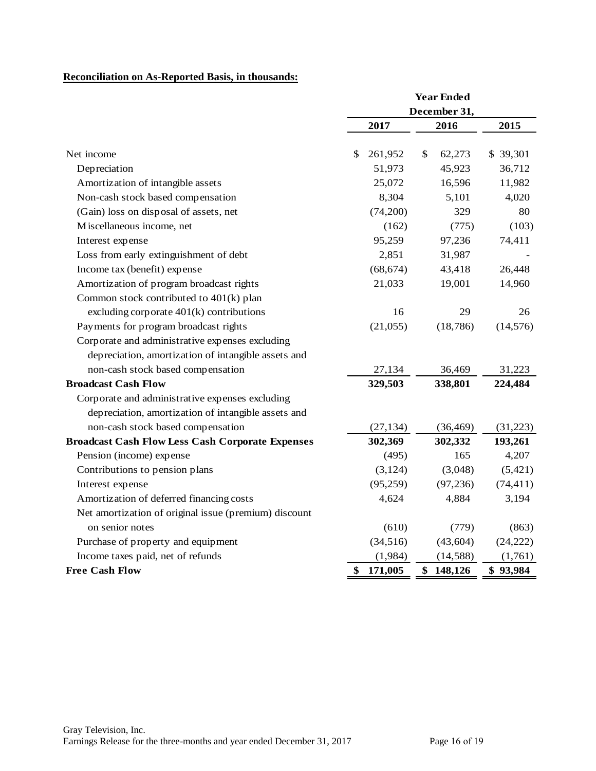# **Reconciliation on As-Reported Basis, in thousands:**

|                                                         |               | <b>Year Ended</b> |           |
|---------------------------------------------------------|---------------|-------------------|-----------|
|                                                         |               | December 31,      |           |
|                                                         | 2017          | 2016              | 2015      |
| Net income                                              | \$<br>261,952 | \$<br>62,273      | \$ 39,301 |
| Depreciation                                            | 51,973        | 45,923            | 36,712    |
| Amortization of intangible assets                       | 25,072        | 16,596            | 11,982    |
| Non-cash stock based compensation                       | 8,304         | 5,101             | 4,020     |
| (Gain) loss on disposal of assets, net                  | (74,200)      | 329               | 80        |
| Miscellaneous income, net                               | (162)         | (775)             | (103)     |
| Interest expense                                        | 95,259        | 97,236            | 74,411    |
| Loss from early extinguishment of debt                  | 2,851         | 31,987            |           |
| Income tax (benefit) expense                            | (68, 674)     | 43,418            | 26,448    |
| Amortization of program broadcast rights                | 21,033        | 19,001            | 14,960    |
| Common stock contributed to 401(k) plan                 |               |                   |           |
| excluding corporate $401(k)$ contributions              | 16            | 29                | 26        |
| Payments for program broadcast rights                   | (21,055)      | (18, 786)         | (14, 576) |
| Corporate and administrative expenses excluding         |               |                   |           |
| depreciation, amortization of intangible assets and     |               |                   |           |
| non-cash stock based compensation                       | 27,134        | 36,469            | 31,223    |
| <b>Broadcast Cash Flow</b>                              | 329,503       | 338,801           | 224,484   |
| Corporate and administrative expenses excluding         |               |                   |           |
| depreciation, amortization of intangible assets and     |               |                   |           |
| non-cash stock based compensation                       | (27, 134)     | (36, 469)         | (31,223)  |
| <b>Broadcast Cash Flow Less Cash Corporate Expenses</b> | 302,369       | 302,332           | 193,261   |
| Pension (income) expense                                | (495)         | 165               | 4,207     |
| Contributions to pension plans                          | (3,124)       | (3,048)           | (5, 421)  |
| Interest expense                                        | (95,259)      | (97, 236)         | (74, 411) |
| Amortization of deferred financing costs                | 4,624         | 4,884             | 3,194     |
| Net amortization of original issue (premium) discount   |               |                   |           |
| on senior notes                                         | (610)         | (779)             | (863)     |
| Purchase of property and equipment                      | (34,516)      | (43, 604)         | (24, 222) |
| Income taxes paid, net of refunds                       | (1,984)       | (14,588)          | (1,761)   |
| <b>Free Cash Flow</b>                                   | \$<br>171,005 | \$148,126         | \$93,984  |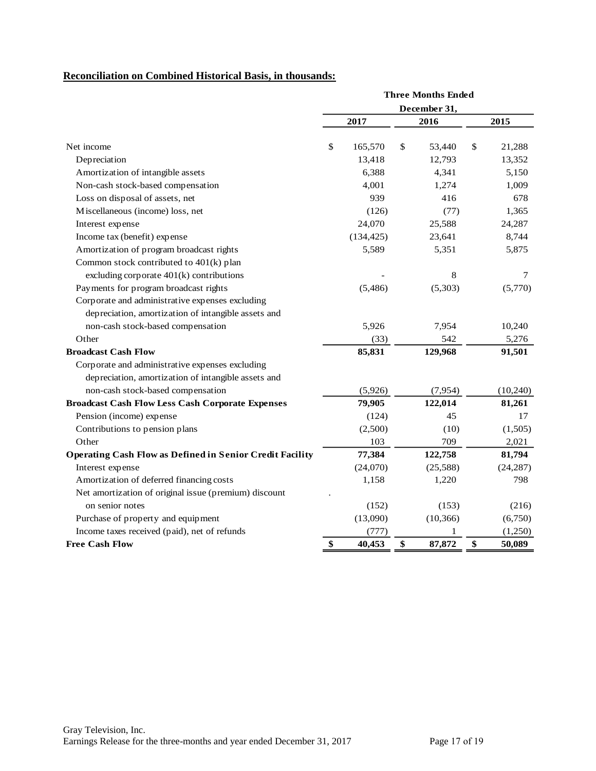## **Reconciliation on Combined Historical Basis, in thousands:**

|                                                                 |    | <b>Three Months Ended</b><br>December 31, |    |           |    |           |
|-----------------------------------------------------------------|----|-------------------------------------------|----|-----------|----|-----------|
|                                                                 |    |                                           |    |           |    |           |
|                                                                 |    | 2017                                      |    | 2016      |    | 2015      |
| Net income                                                      | \$ | 165,570                                   | \$ | 53,440    | \$ | 21,288    |
| Depreciation                                                    |    | 13,418                                    |    | 12,793    |    | 13,352    |
| Amortization of intangible assets                               |    | 6,388                                     |    | 4,341     |    | 5,150     |
| Non-cash stock-based compensation                               |    | 4,001                                     |    | 1,274     |    | 1,009     |
| Loss on disposal of assets, net                                 |    | 939                                       |    | 416       |    | 678       |
| Miscellaneous (income) loss, net                                |    | (126)                                     |    | (77)      |    | 1,365     |
| Interest expense                                                |    | 24,070                                    |    | 25,588    |    | 24,287    |
| Income tax (benefit) expense                                    |    | (134, 425)                                |    | 23,641    |    | 8,744     |
| Amortization of program broadcast rights                        |    | 5,589                                     |    | 5,351     |    | 5,875     |
| Common stock contributed to 401(k) plan                         |    |                                           |    |           |    |           |
| excluding corporate $401(k)$ contributions                      |    |                                           |    | 8         |    | 7         |
| Payments for program broadcast rights                           |    | (5,486)                                   |    | (5,303)   |    | (5,770)   |
| Corporate and administrative expenses excluding                 |    |                                           |    |           |    |           |
| depreciation, amortization of intangible assets and             |    |                                           |    |           |    |           |
| non-cash stock-based compensation                               |    | 5,926                                     |    | 7,954     |    | 10,240    |
| Other                                                           |    | (33)                                      |    | 542       |    | 5,276     |
| <b>Broadcast Cash Flow</b>                                      |    | 85,831                                    |    | 129,968   |    | 91,501    |
| Corporate and administrative expenses excluding                 |    |                                           |    |           |    |           |
| depreciation, amortization of intangible assets and             |    |                                           |    |           |    |           |
| non-cash stock-based compensation                               |    | (5,926)                                   |    | (7,954)   |    | (10, 240) |
| <b>Broadcast Cash Flow Less Cash Corporate Expenses</b>         |    | 79,905                                    |    | 122,014   |    | 81,261    |
| Pension (income) expense                                        |    | (124)                                     |    | 45        |    | 17        |
| Contributions to pension plans                                  |    | (2,500)                                   |    | (10)      |    | (1,505)   |
| Other                                                           |    | 103                                       |    | 709       |    | 2,021     |
| <b>Operating Cash Flow as Defined in Senior Credit Facility</b> |    | 77,384                                    |    | 122,758   |    | 81,794    |
| Interest expense                                                |    | (24,070)                                  |    | (25,588)  |    | (24, 287) |
| Amortization of deferred financing costs                        |    | 1,158                                     |    | 1,220     |    | 798       |
| Net amortization of original issue (premium) discount           |    |                                           |    |           |    |           |
| on senior notes                                                 |    | (152)                                     |    | (153)     |    | (216)     |
| Purchase of property and equipment                              |    | (13,090)                                  |    | (10, 366) |    | (6,750)   |
| Income taxes received (paid), net of refunds                    |    | (777)                                     |    | 1         |    | (1,250)   |
| <b>Free Cash Flow</b>                                           | \$ | 40,453                                    | \$ | 87,872    | \$ | 50,089    |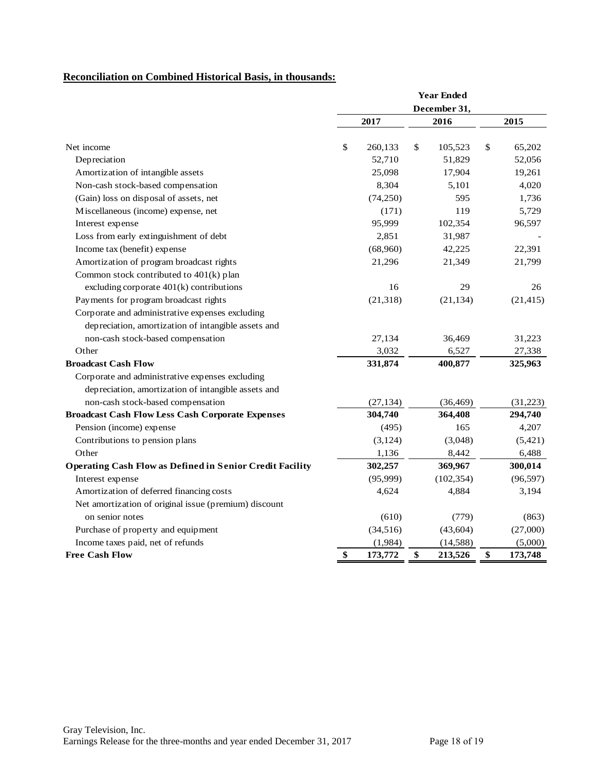# **Reconciliation on Combined Historical Basis, in thousands:**

|                                                                 |              | <b>Year Ended</b> |    |            |    |           |
|-----------------------------------------------------------------|--------------|-------------------|----|------------|----|-----------|
|                                                                 | December 31. |                   |    |            |    |           |
|                                                                 |              | 2017              |    | 2016       |    | 2015      |
| Net income                                                      | \$           | 260,133           | \$ | 105,523    | \$ | 65,202    |
| Depreciation                                                    |              | 52,710            |    | 51,829     |    | 52,056    |
| Amortization of intangible assets                               |              | 25,098            |    | 17,904     |    | 19,261    |
| Non-cash stock-based compensation                               |              | 8,304             |    | 5,101      |    | 4,020     |
| (Gain) loss on disposal of assets, net                          |              | (74, 250)         |    | 595        |    | 1,736     |
| Miscellaneous (income) expense, net                             |              | (171)             |    | 119        |    | 5,729     |
| Interest expense                                                |              | 95,999            |    | 102,354    |    | 96,597    |
| Loss from early extinguishment of debt                          |              | 2,851             |    | 31,987     |    |           |
| Income tax (benefit) expense                                    |              | (68,960)          |    | 42,225     |    | 22,391    |
| Amortization of program broadcast rights                        |              | 21,296            |    | 21,349     |    | 21,799    |
| Common stock contributed to 401(k) plan                         |              |                   |    |            |    |           |
| excluding corporate 401(k) contributions                        |              | 16                |    | 29         |    | 26        |
| Payments for program broadcast rights                           |              | (21, 318)         |    | (21, 134)  |    | (21, 415) |
| Corporate and administrative expenses excluding                 |              |                   |    |            |    |           |
| depreciation, amortization of intangible assets and             |              |                   |    |            |    |           |
| non-cash stock-based compensation                               |              | 27,134            |    | 36,469     |    | 31,223    |
| Other                                                           |              | 3,032             |    | 6,527      |    | 27,338    |
| <b>Broadcast Cash Flow</b>                                      |              | 331,874           |    | 400,877    |    | 325,963   |
| Corporate and administrative expenses excluding                 |              |                   |    |            |    |           |
| depreciation, amortization of intangible assets and             |              |                   |    |            |    |           |
| non-cash stock-based compensation                               |              | (27, 134)         |    | (36, 469)  |    | (31,223)  |
| <b>Broadcast Cash Flow Less Cash Corporate Expenses</b>         |              | 304,740           |    | 364,408    |    | 294,740   |
| Pension (income) expense                                        |              | (495)             |    | 165        |    | 4,207     |
| Contributions to pension plans                                  |              | (3, 124)          |    | (3,048)    |    | (5,421)   |
| Other                                                           |              | 1,136             |    | 8,442      |    | 6,488     |
| <b>Operating Cash Flow as Defined in Senior Credit Facility</b> |              | 302,257           |    | 369,967    |    | 300,014   |
| Interest expense                                                |              | (95,999)          |    | (102, 354) |    | (96, 597) |
| Amortization of deferred financing costs                        |              | 4,624             |    | 4,884      |    | 3,194     |
| Net amortization of original issue (premium) discount           |              |                   |    |            |    |           |
| on senior notes                                                 |              | (610)             |    | (779)      |    | (863)     |
| Purchase of property and equipment                              |              | (34, 516)         |    | (43, 604)  |    | (27,000)  |
| Income taxes paid, net of refunds                               |              | (1,984)           |    | (14, 588)  |    | (5,000)   |
| <b>Free Cash Flow</b>                                           | \$           | 173,772           | \$ | 213,526    | \$ | 173,748   |